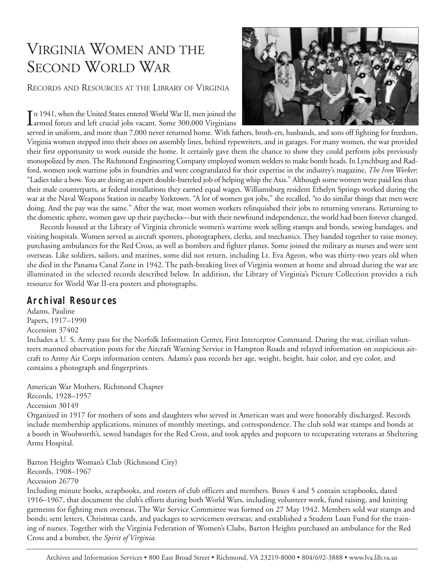# VIRGINIA WOMEN AND THE SECOND WORLD WAR

RECORDS AND RESOURCES AT THE LIBRARY OF VIRGINIA

In 1941, when the United States entered World War II, men joined the armed forces and left crucial jobs vacant. Some 300,000 Virginians n 1941, when the United States entered World War II, men joined the



served in uniform, and more than 7,000 never returned home. With fathers, broth-ers, husbands, and sons off fighting for freedom, Virginia women stepped into their shoes on assembly lines, behind typewriters, and in garages. For many women, the war provided their first opportunity to work outside the home. It certainly gave them the chance to show they could perform jobs previously monopolized by men. The Richmond Engineering Company employed women welders to make bomb heads. In Lynchburg and Radford, women took wartime jobs in foundries and were congratulated for their expertise in the industry's magazine, *The Iron Worker*: "Ladies take a bow. You are doing an expert double-barreled job of helping whip the Axis." Although some women were paid less than their male counterparts, at federal installations they earned equal wages. Williamsburg resident Ethelyn Springs worked during the war at the Naval Weapons Station in nearby Yorktown. "A lot of women got jobs," she recalled, "to do similar things that men were doing. And the pay was the same." After the war, most women workers relinquished their jobs to returning veterans. Returning to the domestic sphere, women gave up their paychecks—but with their newfound independence, the world had been forever changed.

Records housed at the Library of Virginia chronicle women's wartime work selling stamps and bonds, sewing bandages, and visiting hospitals. Women served as aircraft spotters, photographers, clerks, and mechanics. They banded together to raise money, purchasing ambulances for the Red Cross, as well as bombers and fighter planes. Some joined the military as nurses and were sent overseas. Like soldiers, sailors, and marines, some did not return, including Lt. Eva Ageon, who was thirty-two years old when she died in the Panama Canal Zone in 1942. The path-breaking lives of Virginia women at home and abroad during the war are illuminated in the selected records described below. In addition, the Library of Virginia's Picture Collection provides a rich resource for World War II-era posters and photographs.

## **Archival Resources**

Adams, Pauline Papers, 1917–1990 Accession 37402 Includes a U. S. Army pass for the Norfolk Information Center, First Interceptor Command. During the war, civilian volunteers manned observation posts for the Aircraft Warning Service in Hampton Roads and relayed information on suspicious aircraft to Army Air Corps information centers. Adams's pass records her age, weight, height, hair color, and eye color, and contains a photograph and fingerprints.

American War Mothers, Richmond Chapter Records, 1928–1957 Accession 30149 Organized in 1917 for mothers of sons and daughters who served in American wars and were honorably discharged. Records include membership applications, minutes of monthly meetings, and correspondence. The club sold war stamps and bonds at a booth in Woolworth's, sewed bandages for the Red Cross, and took apples and popcorn to recuperating veterans at Sheltering Arms Hospital.

Barton Heights Woman's Club (Richmond City) Records, 1908–1967 Accession 26770

Including minute books, scrapbooks, and rosters of club officers and members. Boxes 4 and 5 contain scrapbooks, dated 1916–1967, that document the club's efforts during both World Wars, including volunteer work, fund raising, and knitting garments for fighting men overseas. The War Service Committee was formed on 27 May 1942. Members sold war stamps and bonds; sent letters, Christmas cards, and packages to servicemen overseas; and established a Student Loan Fund for the training of nurses. Together with the Virginia Federation of Women's Clubs, Barton Heights purchased an ambulance for the Red Cross and a bomber, the *Spirit of Virginia.*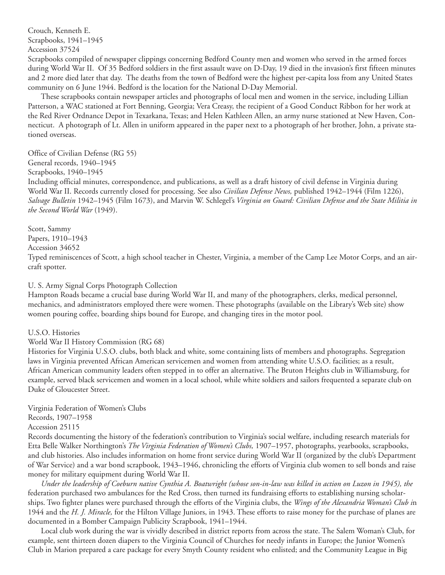Crouch, Kenneth E. Scrapbooks, 1941–1945 Accession 37524

Scrapbooks compiled of newspaper clippings concerning Bedford County men and women who served in the armed forces during World War II. Of 35 Bedford soldiers in the first assault wave on D-Day, 19 died in the invasion's first fifteen minutes and 2 more died later that day. The deaths from the town of Bedford were the highest per-capita loss from any United States community on 6 June 1944. Bedford is the location for the National D-Day Memorial.

These scrapbooks contain newspaper articles and photographs of local men and women in the service, including Lillian Patterson, a WAC stationed at Fort Benning, Georgia; Vera Creasy, the recipient of a Good Conduct Ribbon for her work at the Red River Ordnance Depot in Texarkana, Texas; and Helen Kathleen Allen, an army nurse stationed at New Haven, Connecticut. A photograph of Lt. Allen in uniform appeared in the paper next to a photograph of her brother, John, a private stationed overseas.

Office of Civilian Defense (RG 55)

General records, 1940–1945

Scrapbooks, 1940–1945

Including official minutes, correspondence, and publications, as well as a draft history of civil defense in Virginia during World War II. Records currently closed for processing. See also *Civilian Defense News,* published 1942–1944 (Film 1226), *Salvage Bulletin* 1942–1945 (Film 1673), and Marvin W. Schlegel's *Virginia on Guard: Civilian Defense and the State Militia in the Second World War* (1949).

Scott, Sammy Papers, 1910–1943 Accession 34652 Typed reminiscences of Scott, a high school teacher in Chester, Virginia, a member of the Camp Lee Motor Corps, and an aircraft spotter.

U. S. Army Signal Corps Photograph Collection

Hampton Roads became a crucial base during World War II, and many of the photographers, clerks, medical personnel, mechanics, and administrators employed there were women. These photographs (available on the Library's Web site) show women pouring coffee, boarding ships bound for Europe, and changing tires in the motor pool.

U.S.O. Histories

World War II History Commission (RG 68)

Histories for Virginia U.S.O. clubs, both black and white, some containing lists of members and photographs. Segregation laws in Virginia prevented African American servicemen and women from attending white U.S.O. facilities; as a result, African American community leaders often stepped in to offer an alternative. The Bruton Heights club in Williamsburg, for example, served black servicemen and women in a local school, while white soldiers and sailors frequented a separate club on Duke of Gloucester Street.

Virginia Federation of Women's Clubs Records, 1907–1958

Accession 25115

Records documenting the history of the federation's contribution to Virginia's social welfare, including research materials for Etta Belle Walker Northington's *The Virginia Federation of Women's Clubs,* 1907–1957, photographs, yearbooks, scrapbooks, and club histories. Also includes information on home front service during World War II (organized by the club's Department of War Service) and a war bond scrapbook, 1943–1946, chronicling the efforts of Virginia club women to sell bonds and raise money for military equipment during World War II.

*Under the leadership of Coeburn native Cynthia A. Boatwright (whose son-in-law was killed in action on Luzon in 1945), the* federation purchased two ambulances for the Red Cross, then turned its fundraising efforts to establishing nursing scholarships. Two fighter planes were purchased through the efforts of the Virginia clubs, the *Wings of the Alexandria Woman's Club i*n 1944 and the *H. J. Miracle,* for the Hilton Village Juniors, in 1943. These efforts to raise money for the purchase of planes are documented in a Bomber Campaign Publicity Scrapbook, 1941–1944.

Local club work during the war is vividly described in district reports from across the state. The Salem Woman's Club, for example, sent thirteen dozen diapers to the Virginia Council of Churches for needy infants in Europe; the Junior Women's Club in Marion prepared a care package for every Smyth County resident who enlisted; and the Community League in Big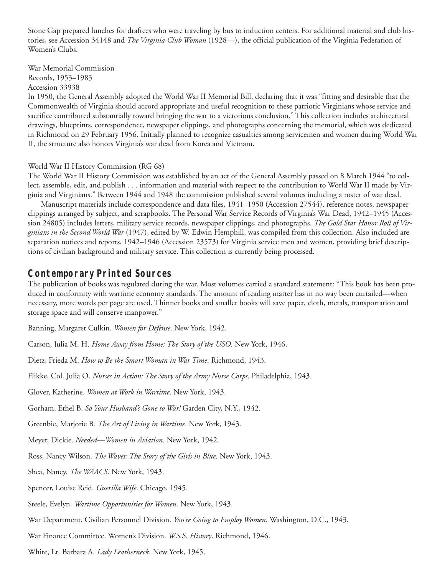Stone Gap prepared lunches for draftees who were traveling by bus to induction centers. For additional material and club histories, see Accession 34148 and *The Virginia Club Woman* (1928—), the official publication of the Virginia Federation of Women's Clubs.

War Memorial Commission Records, 1953–1983 Accession 33938

In 1950, the General Assembly adopted the World War II Memorial Bill, declaring that it was "fitting and desirable that the Commonwealth of Virginia should accord appropriate and useful recognition to these patriotic Virginians whose service and sacrifice contributed substantially toward bringing the war to a victorious conclusion." This collection includes architectural drawings, blueprints, correspondence, newspaper clippings, and photographs concerning the memorial, which was dedicated in Richmond on 29 February 1956. Initially planned to recognize casualties among servicemen and women during World War II, the structure also honors Virginia's war dead from Korea and Vietnam.

#### World War II History Commission (RG 68)

The World War II History Commission was established by an act of the General Assembly passed on 8 March 1944 "to collect, assemble, edit, and publish . . . information and material with respect to the contribution to World War II made by Virginia and Virginians." Between 1944 and 1948 the commission published several volumes including a roster of war dead.

Manuscript materials include correspondence and data files, 1941–1950 (Accession 27544), reference notes, newspaper clippings arranged by subject, and scrapbooks. The Personal War Service Records of Virginia's War Dead, 1942–1945 (Accession 24805) includes letters, military service records, newspaper clippings, and photographs. *The Gold Star Honor Roll of Virginians in the Second World War* (1947), edited by W. Edwin Hemphill, was compiled from this collection. Also included are separation notices and reports, 1942–1946 (Accession 23573) for Virginia service men and women, providing brief descriptions of civilian background and military service. This collection is currently being processed.

### **Contemporary Printed Sources**

The publication of books was regulated during the war. Most volumes carried a standard statement: "This book has been produced in conformity with wartime economy standards. The amount of reading matter has in no way been curtailed—when necessary, more words per page are used. Thinner books and smaller books will save paper, cloth, metals, transportation and storage space and will conserve manpower."

Banning, Margaret Culkin. *Women for Defense*. New York, 1942.

Carson, Julia M. H. *Home Away from Home: The Story of the USO*. New York, 1946.

Dietz, Frieda M. *How to Be the Smart Woman in War Time*. Richmond, 1943.

Flikke, Col. Julia O. *Nurses in Action: The Story of the Army Nurse Corps*. Philadelphia, 1943.

Glover, Katherine. *Women at Work in Wartime*. New York, 1943.

Gorham, Ethel B. *So Your Husband's Gone to War!* Garden City, N.Y., 1942.

Greenbie, Marjorie B. *The Art of Living in Wartime*. New York, 1943.

Meyer, Dickie. *Needed—Women in Aviation*. New York, 1942.

Ross, Nancy Wilson. *The Waves: The Story of the Girls in Blue*. New York, 1943.

Shea, Nancy. *The WAACS*. New York, 1943.

Spencer, Louise Reid. *Guerilla Wife*. Chicago, 1945.

Steele, Evelyn. *Wartime Opportunities for Women*. New York, 1943.

War Department. Civilian Personnel Division. *You're Going to Employ Women.* Washington, D.C., 1943.

War Finance Committee. Women's Division. *W.S.S. History*. Richmond, 1946.

White, Lt. Barbara A. *Lady Leatherneck*. New York, 1945.